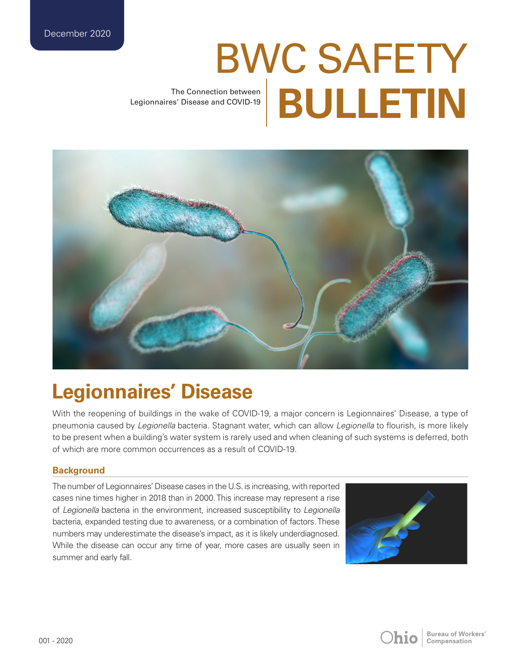# BWC SAFETY The Connection between **BULLETIN**

Legionnaires' Disease and COVID-19



# **Legionnaires' Disease**

With the reopening of buildings in the wake of COVID-19, a major concern is Legionnaires' Disease, a type of pneumonia caused by *Legionella* bacteria. Stagnant water, which can allow *Legionella* to flourish, is more likely to be present when a building's water system is rarely used and when cleaning of such systems is deferred, both of which are more common occurrences as a result of COVID-19.

## **Background**

The number of Legionnaires' Disease cases in the U.S. is increasing, with reported cases nine times higher in 2018 than in 2000. This increase may represent a rise of *Legionella* bacteria in the environment, increased susceptibility to *Legionella* bacteria, expanded testing due to awareness, or a combination of factors. These numbers may underestimate the disease's impact, as it is likely underdiagnosed. While the disease can occur any time of year, more cases are usually seen in summer and early fall.



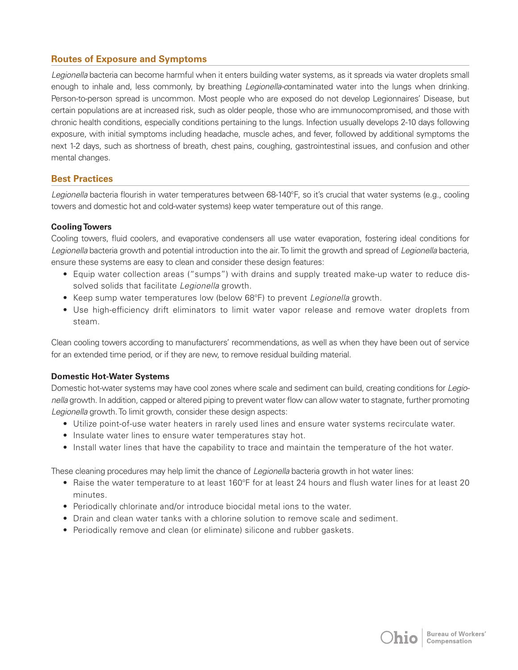# **Routes of Exposure and Symptoms**

*Legionella* bacteria can become harmful when it enters building water systems, as it spreads via water droplets small enough to inhale and, less commonly, by breathing *Legionella-c*ontaminated water into the lungs when drinking. Person-to-person spread is uncommon. Most people who are exposed do not develop Legionnaires' Disease, but certain populations are at increased risk, such as older people, those who are immunocompromised, and those with chronic health conditions, especially conditions pertaining to the lungs. Infection usually develops 2-10 days following exposure, with initial symptoms including headache, muscle aches, and fever, followed by additional symptoms the next 1-2 days, such as shortness of breath, chest pains, coughing, gastrointestinal issues, and confusion and other mental changes.

#### **Best Practices**

Legionella bacteria flourish in water temperatures between 68-140°F, so it's crucial that water systems (e.g., cooling towers and domestic hot and cold-water systems) keep water temperature out of this range.

#### **Cooling Towers**

Cooling towers, fluid coolers, and evaporative condensers all use water evaporation, fostering ideal conditions for *Legionella* bacteria growth and potential introduction into the air. To limit the growth and spread of *Legionella* bacteria, ensure these systems are easy to clean and consider these design features:

- Equip water collection areas ("sumps") with drains and supply treated make-up water to reduce dissolved solids that facilitate *Legionella* growth.
- Keep sump water temperatures low (below 68°F) to prevent *Legionella* growth.
- Use high-efficiency drift eliminators to limit water vapor release and remove water droplets from steam.

Clean cooling towers according to manufacturers' recommendations, as well as when they have been out of service for an extended time period, or if they are new, to remove residual building material.

#### **Domestic Hot-Water Systems**

Domestic hot-water systems may have cool zones where scale and sediment can build, creating conditions for *Legionella* growth. In addition, capped or altered piping to prevent water flow can allow water to stagnate, further promoting *Legionella* growth. To limit growth, consider these design aspects:

- Utilize point-of-use water heaters in rarely used lines and ensure water systems recirculate water.
- Insulate water lines to ensure water temperatures stay hot.
- Install water lines that have the capability to trace and maintain the temperature of the hot water.

These cleaning procedures may help limit the chance of *Legionella* bacteria growth in hot water lines:

- Raise the water temperature to at least 160°F for at least 24 hours and flush water lines for at least 20 minutes.
- Periodically chlorinate and/or introduce biocidal metal ions to the water.
- Drain and clean water tanks with a chlorine solution to remove scale and sediment.
- Periodically remove and clean (or eliminate) silicone and rubber gaskets.